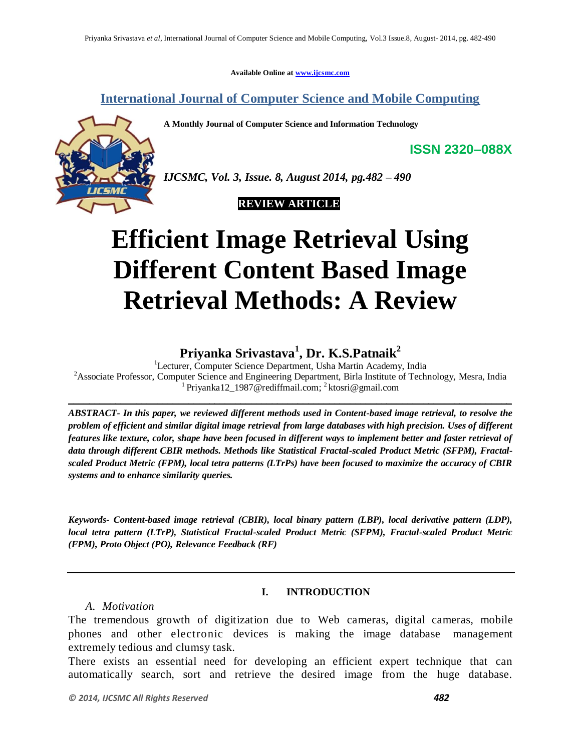**Available Online at www.ijcsmc.com**

**International Journal of Computer Science and Mobile Computing**

**A Monthly Journal of Computer Science and Information Technology**



*IJCSMC, Vol. 3, Issue. 8, August 2014, pg.482 – 490*

### **REVIEW ARTICLE**

# **Efficient Image Retrieval Using Different Content Based Image Retrieval Methods: A Review**

## **Priyanka Srivastava<sup>1</sup> , Dr. K.S.Patnaik<sup>2</sup>**

<sup>1</sup>Lecturer, Computer Science Department, Usha Martin Academy, India <sup>2</sup>Associate Professor, Computer Science and Engineering Department, Birla Institute of Technology, Mesra, India <sup>1</sup> Priyanka12\_1987@rediffmail.com; <sup>2</sup> ktosri@gmail.com

\_\_\_\_\_\_\_\_\_\_\_\_\_\_\_\_\_\_\_\_\_\_\_\_\_\_\_\_\_\_\_\_\_\_\_\_\_\_\_\_\_\_\_\_\_\_\_\_\_\_\_\_\_\_\_\_\_\_\_\_\_\_\_\_\_\_\_\_\_\_\_\_\_\_\_\_\_\_\_\_\_\_\_\_\_

*ABSTRACT- In this paper, we reviewed different methods used in Content-based image retrieval, to resolve the problem of efficient and similar digital image retrieval from large databases with high precision. Uses of different features like texture, color, shape have been focused in different ways to implement better and faster retrieval of data through different CBIR methods. Methods like Statistical Fractal-scaled Product Metric (SFPM), Fractalscaled Product Metric (FPM), local tetra patterns (LTrPs) have been focused to maximize the accuracy of CBIR systems and to enhance similarity queries.* 

*Keywords- Content-based image retrieval (CBIR), local binary pattern (LBP), local derivative pattern (LDP), local tetra pattern (LTrP), Statistical Fractal-scaled Product Metric (SFPM), Fractal-scaled Product Metric (FPM), Proto Object (PO), Relevance Feedback (RF)*

#### **I. INTRODUCTION**

#### *A. Motivation*

The tremendous growth of digitization due to Web cameras, digital cameras, mobile phones and other electronic devices is making the image database management extremely tedious and clumsy task.

There exists an essential need for developing an efficient expert technique that can automatically search, sort and retrieve the desired image from the huge database.

**ISSN 2320–088X**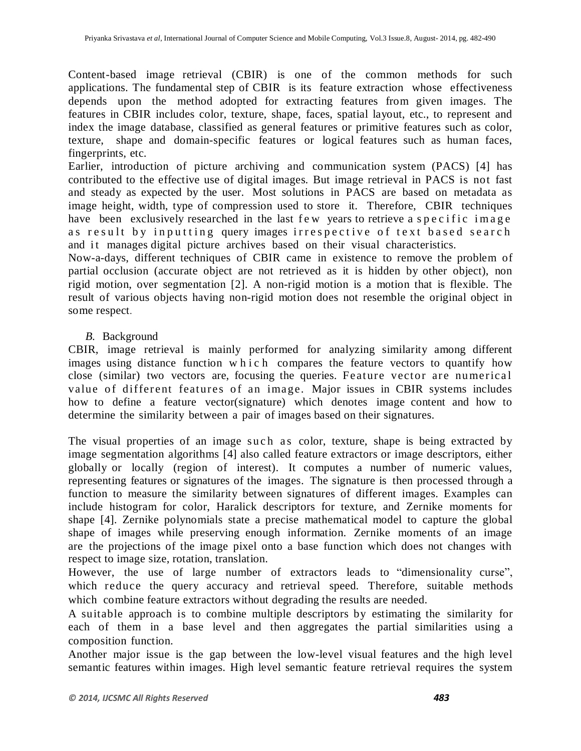Content-based image retrieval (CBIR) is one of the common methods for such applications. The fundamental step of CBIR is its feature extraction whose effectiveness depends upon the method adopted for extracting features from given images. The features in CBIR includes color, texture, shape, faces, spatial layout, etc., to represent and index the image database, classified as general features or primitive features such as color, texture, shape and domain-specific features or logical features such as human faces, fingerprints, etc.

Earlier, introduction of picture archiving and communication system (PACS) [4] has contributed to the effective use of digital images. But image retrieval in PACS is not fast and steady as expected by the user. Most solutions in PACS are based on metadata as image height, width, type of compression used to store it. Therefore, CBIR techniques have been exclusively researched in the last f ew years to retrieve a specific image as result by inputting query images irrespective of text based search and it manages digital picture archives based on their visual characteristics.

Now-a-days, different techniques of CBIR came in existence to remove the problem of partial occlusion (accurate object are not retrieved as it is hidden by other object), non rigid motion, over segmentation [2]. A non-rigid motion is a motion that is flexible. The result of various objects having non-rigid motion does not resemble the original object in some respect.

#### *B.* Background

CBIR, image retrieval is mainly performed for analyzing similarity among different images using distance function which compares the feature vectors to quantify how close (similar) two vectors are, focusing the queries. Feature vector are numerical value of different features of an image. Major issues in CBIR systems includes how to define a feature vector(signature) which denotes image content and how to determine the similarity between a pair of images based on their signatures.

The visual properties of an image such as color, texture, shape is being extracted by image segmentation algorithms [4] also called feature extractors or image descriptors, either globally or locally (region of interest). It computes a number of numeric values, representing features or signatures of the images. The signature is then processed through a function to measure the similarity between signatures of different images. Examples can include histogram for color, Haralick descriptors for texture, and Zernike moments for shape [4]. Zernike polynomials state a precise mathematical model to capture the global shape of images while preserving enough information. Zernike moments of an image are the projections of the image pixel onto a base function which does not changes with respect to image size, rotation, translation.

However, the use of large number of extractors leads to "dimensionality curse", which reduce the query accuracy and retrieval speed. Therefore, suitable methods which combine feature extractors without degrading the results are needed.

A suitable approach is to combine multiple descriptors by estimating the similarity for each of them in a base level and then aggregates the partial similarities using a composition function.

Another major issue is the gap between the low-level visual features and the high level semantic features within images. High level semantic feature retrieval requires the system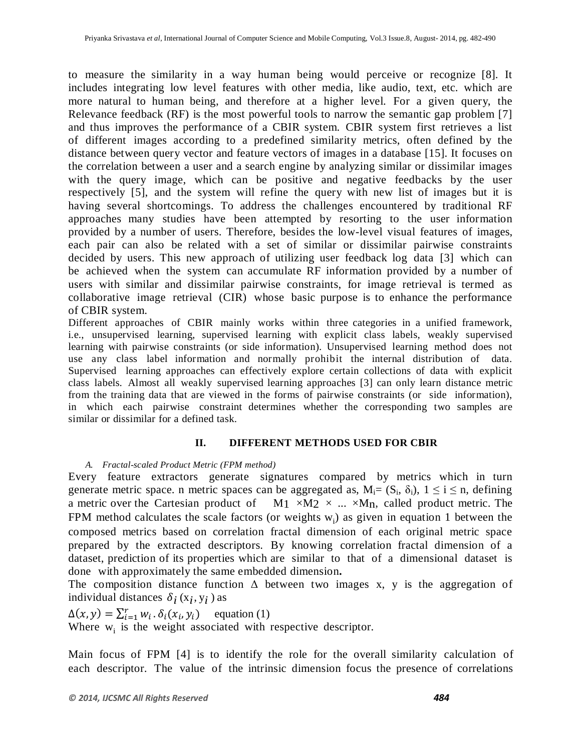to measure the similarity in a way human being would perceive or recognize [8]. It includes integrating low level features with other media, like audio, text, etc. which are more natural to human being, and therefore at a higher level. For a given query, the Relevance feedback (RF) is the most powerful tools to narrow the semantic gap problem [7] and thus improves the performance of a CBIR system. CBIR system first retrieves a list of different images according to a predefined similarity metrics, often defined by the distance between query vector and feature vectors of images in a database [15]. It focuses on the correlation between a user and a search engine by analyzing similar or dissimilar images with the query image, which can be positive and negative feedbacks by the user respectively [5], and the system will refine the query with new list of images but it is having several shortcomings. To address the challenges encountered by traditional RF approaches many studies have been attempted by resorting to the user information provided by a number of users. Therefore, besides the low-level visual features of images, each pair can also be related with a set of similar or dissimilar pairwise constraints decided by users. This new approach of utilizing user feedback log data [3] which can be achieved when the system can accumulate RF information provided by a number of users with similar and dissimilar pairwise constraints, for image retrieval is termed as collaborative image retrieval (CIR) whose basic purpose is to enhance the performance of CBIR system.

Different approaches of CBIR mainly works within three categories in a unified framework, i.e., unsupervised learning, supervised learning with explicit class labels, weakly supervised learning with pairwise constraints (or side information). Unsupervised learning method does not use any class label information and normally prohibit the internal distribution of data. Supervised learning approaches can effectively explore certain collections of data with explicit class labels. Almost all weakly supervised learning approaches [3] can only learn distance metric from the training data that are viewed in the forms of pairwise constraints (or side information), in which each pairwise constraint determines whether the corresponding two samples are similar or dissimilar for a defined task.

#### **II. DIFFERENT METHODS USED FOR CBIR**

#### *A. Fractal-scaled Product Metric (FPM method)*

Every feature extractors generate signatures compared by metrics which in turn generate metric space. n metric spaces can be aggregated as,  $M_i = (S_i, \delta_i)$ ,  $1 \le i \le n$ , defining a metric over the Cartesian product of  $M_1 \times M_2 \times ... \times M_n$ , called product metric. The FPM method calculates the scale factors (or weights  $w_i$ ) as given in equation 1 between the composed metrics based on correlation fractal dimension of each original metric space prepared by the extracted descriptors. By knowing correlation fractal dimension of a dataset, prediction of its properties which are similar to that of a dimensional dataset is done with approximately the same embedded dimension**.**

The composition distance function  $\Delta$  between two images x, y is the aggregation of individual distances  $\delta_i$  ( $x_i$ ,  $y_i$ ) as

 $\Delta(x, y) = \sum_{i=1}^{r} w_i \cdot \delta_i(x_i, y_i)$  equation (1) Where  $w_i$  is the weight associated with respective descriptor.

Main focus of FPM [4] is to identify the role for the overall similarity calculation of each descriptor. The value of the intrinsic dimension focus the presence of correlations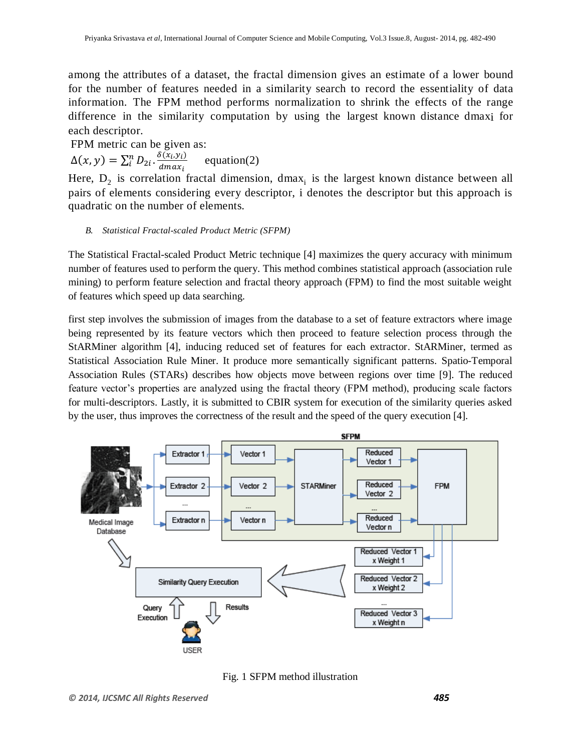among the attributes of a dataset, the fractal dimension gives an estimate of a lower bound for the number of features needed in a similarity search to record the essentiality of data information. The FPM method performs normalization to shrink the effects of the range difference in the similarity computation by using the largest known distance dmaxi for each descriptor.

FPM metric can be given as:  $\Delta(x, y) = \sum_{i}^{n} D_{2i} \cdot \frac{\delta(x_i, y_i)}{dy_i}$  $\boldsymbol{d}$ n<br>i equation(2)

Here,  $D_2$  is correlation fractal dimension, dmax<sub>i</sub> is the largest known distance between all pairs of elements considering every descriptor, i denotes the descriptor but this approach is quadratic on the number of elements.

#### *B. Statistical Fractal-scaled Product Metric (SFPM)*

The Statistical Fractal-scaled Product Metric technique [4] maximizes the query accuracy with minimum number of features used to perform the query. This method combines statistical approach (association rule mining) to perform feature selection and fractal theory approach (FPM) to find the most suitable weight of features which speed up data searching.

first step involves the submission of images from the database to a set of feature extractors where image being represented by its feature vectors which then proceed to feature selection process through the StARMiner algorithm [4], inducing reduced set of features for each extractor. StARMiner, termed as Statistical Association Rule Miner. It produce more semantically significant patterns. Spatio-Temporal Association Rules (STARs) describes how objects move between regions over time [9]. The reduced feature vector's properties are analyzed using the fractal theory (FPM method), producing scale factors for multi-descriptors. Lastly, it is submitted to CBIR system for execution of the similarity queries asked by the user, thus improves the correctness of the result and the speed of the query execution [4].



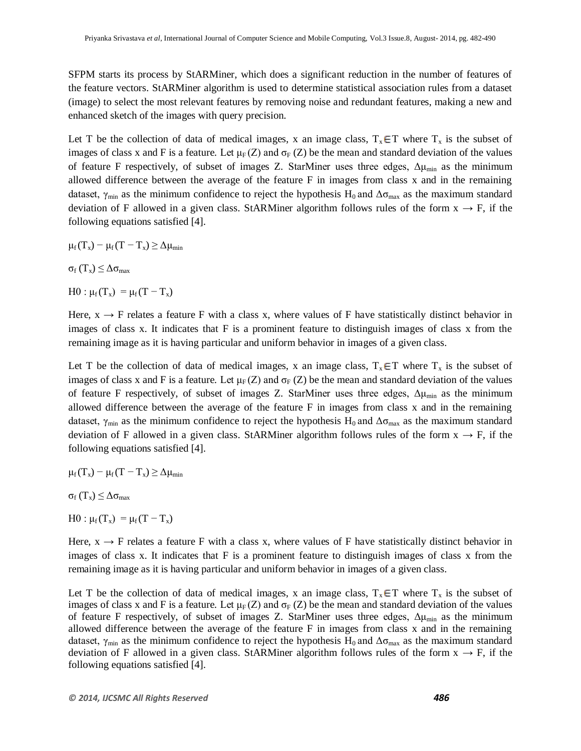SFPM starts its process by StARMiner, which does a significant reduction in the number of features of the feature vectors. StARMiner algorithm is used to determine statistical association rules from a dataset (image) to select the most relevant features by removing noise and redundant features, making a new and enhanced sketch of the images with query precision.

Let T be the collection of data of medical images, x an image class,  $T_x \in T$  where  $T_x$  is the subset of images of class x and F is a feature. Let  $\mu_F(Z)$  and  $\sigma_F(Z)$  be the mean and standard deviation of the values of feature F respectively, of subset of images Z. StarMiner uses three edges,  $\Delta \mu_{min}$  as the minimum allowed difference between the average of the feature F in images from class x and in the remaining dataset,  $\gamma_{\text{min}}$  as the minimum confidence to reject the hypothesis H<sub>0</sub> and  $\Delta\sigma_{\text{max}}$  as the maximum standard deviation of F allowed in a given class. StARMiner algorithm follows rules of the form  $x \rightarrow F$ , if the following equations satisfied [4].

- $\mu_f(T_x) \mu_f(T T_x) \geq \Delta \mu_{\min}$
- $\sigma_f(T_x) \leq \Delta \sigma_{\text{max}}$
- H0 :  $\mu_f(T_x) = \mu_f (T T_x)$

Here,  $x \rightarrow F$  relates a feature F with a class x, where values of F have statistically distinct behavior in images of class x. It indicates that F is a prominent feature to distinguish images of class x from the remaining image as it is having particular and uniform behavior in images of a given class.

Let T be the collection of data of medical images, x an image class,  $T_x \in T$  where  $T_x$  is the subset of images of class x and F is a feature. Let  $\mu_F(Z)$  and  $\sigma_F(Z)$  be the mean and standard deviation of the values of feature F respectively, of subset of images Z. StarMiner uses three edges,  $\Delta \mu_{min}$  as the minimum allowed difference between the average of the feature F in images from class x and in the remaining dataset,  $\gamma_{min}$  as the minimum confidence to reject the hypothesis H<sub>0</sub> and  $\Delta\sigma_{max}$  as the maximum standard deviation of F allowed in a given class. StARMiner algorithm follows rules of the form  $x \rightarrow F$ , if the following equations satisfied [4].

$$
\mu_f(T_x) = \mu_f(T - T_x) \geq \Delta \mu_{min}
$$

σ<sub>f</sub> (T<sub>x</sub>)  $\leq \Delta$ σ<sub>max</sub>

 $H0: \mu_f(T_x) = \mu_f (T - T_x)$ 

Here,  $x \rightarrow F$  relates a feature F with a class x, where values of F have statistically distinct behavior in images of class x. It indicates that F is a prominent feature to distinguish images of class x from the remaining image as it is having particular and uniform behavior in images of a given class.

Let T be the collection of data of medical images, x an image class,  $T_x \in T$  where  $T_x$  is the subset of images of class x and F is a feature. Let  $\mu_F(Z)$  and  $\sigma_F(Z)$  be the mean and standard deviation of the values of feature F respectively, of subset of images Z. StarMiner uses three edges,  $\Delta \mu_{min}$  as the minimum allowed difference between the average of the feature F in images from class x and in the remaining dataset,  $\gamma_{\text{min}}$  as the minimum confidence to reject the hypothesis H<sub>0</sub> and  $\Delta\sigma_{\text{max}}$  as the maximum standard deviation of F allowed in a given class. StARMiner algorithm follows rules of the form  $x \rightarrow F$ , if the following equations satisfied [4].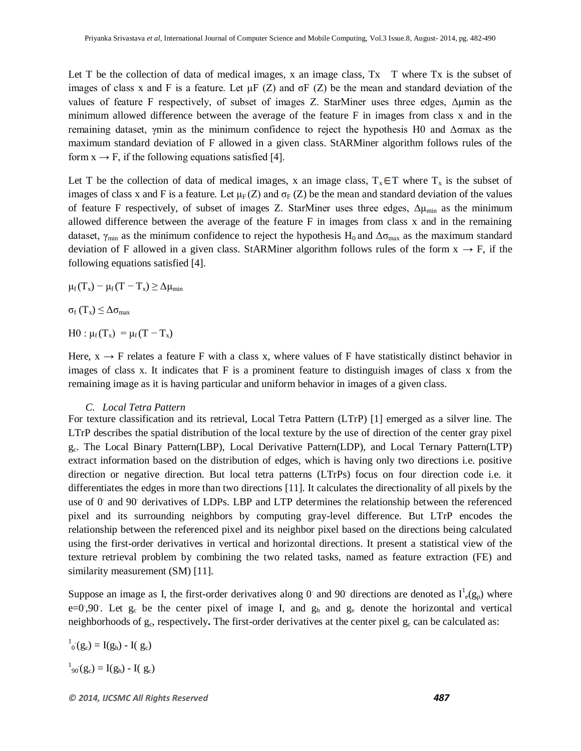Let T be the collection of data of medical images, x an image class,  $Tx$  T where  $Tx$  is the subset of images of class x and F is a feature. Let  $\mu$ F (Z) and  $\sigma$ F (Z) be the mean and standard deviation of the values of feature F respectively, of subset of images Z. StarMiner uses three edges, Δμmin as the minimum allowed difference between the average of the feature F in images from class x and in the remaining dataset, γmin as the minimum confidence to reject the hypothesis H0 and Δσmax as the maximum standard deviation of F allowed in a given class. StARMiner algorithm follows rules of the form  $x \rightarrow F$ , if the following equations satisfied [4].

Let T be the collection of data of medical images, x an image class,  $T_x \in T$  where  $T_x$  is the subset of images of class x and F is a feature. Let  $\mu_F(Z)$  and  $\sigma_F(Z)$  be the mean and standard deviation of the values of feature F respectively, of subset of images Z. StarMiner uses three edges,  $\Delta \mu_{\text{min}}$  as the minimum allowed difference between the average of the feature F in images from class x and in the remaining dataset,  $\gamma_{\text{min}}$  as the minimum confidence to reject the hypothesis H<sub>0</sub> and  $\Delta\sigma_{\text{max}}$  as the maximum standard deviation of F allowed in a given class. StARMiner algorithm follows rules of the form  $x \rightarrow F$ , if the following equations satisfied [4].

 $\mu_f(T_x) - \mu_f(T - T_x) \geq \Delta \mu_{\min}$ 

 $\sigma_f(T_x) \leq \Delta \sigma_{\text{max}}$ 

 $H0: \mu_f(T_x) = \mu_f(T - T_x)$ 

Here,  $x \rightarrow F$  relates a feature F with a class x, where values of F have statistically distinct behavior in images of class x. It indicates that F is a prominent feature to distinguish images of class x from the remaining image as it is having particular and uniform behavior in images of a given class.

#### *C. Local Tetra Pattern*

For texture classification and its retrieval, Local Tetra Pattern (LTrP) [1] emerged as a silver line. The LTrP describes the spatial distribution of the local texture by the use of direction of the center gray pixel gc. The Local Binary Pattern(LBP), Local Derivative Pattern(LDP), and Local Ternary Pattern(LTP) extract information based on the distribution of edges, which is having only two directions i.e. positive direction or negative direction. But local tetra patterns (LTrPs) focus on four direction code i.e. it differentiates the edges in more than two directions [11]. It calculates the directionality of all pixels by the use of 0 and 90 derivatives of LDPs. LBP and LTP determines the relationship between the referenced pixel and its surrounding neighbors by computing gray-level difference. But LTrP encodes the relationship between the referenced pixel and its neighbor pixel based on the directions being calculated using the first-order derivatives in vertical and horizontal directions. It present a statistical view of the texture retrieval problem by combining the two related tasks, named as feature extraction (FE) and similarity measurement (SM) [11].

Suppose an image as I, the first-order derivatives along 0 and 90 directions are denoted as  $I^1_{\text{e}}(g_p)$  where  $e=0.90$ . Let  $g_c$  be the center pixel of image I, and  $g_h$  and  $g_v$  denote the horizontal and vertical neighborhoods of  $g_c$ , respectively. The first-order derivatives at the center pixel  $g_c$  can be calculated as:

 $I_0(g_c) = I(g_h) - I(g_c)$  $1_{90}(g_c) = I(g_h) - I(g_c)$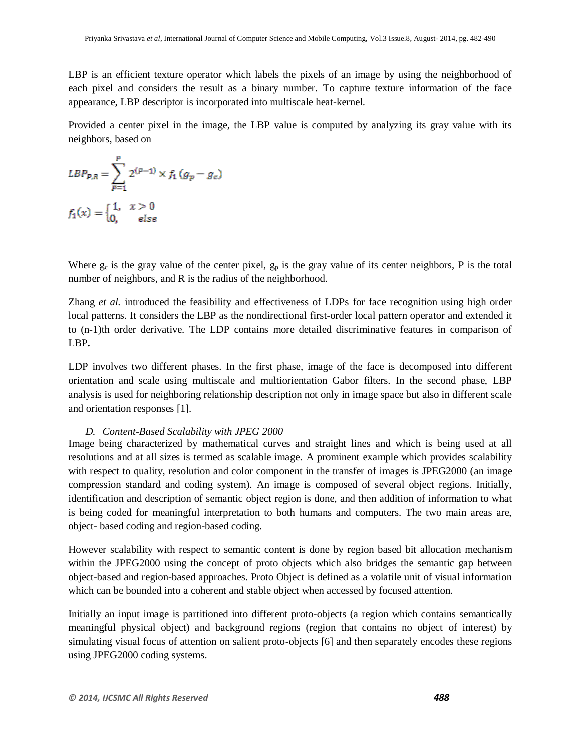LBP is an efficient texture operator which labels the pixels of an image by using the neighborhood of each pixel and considers the result as a binary number. To capture texture information of the face appearance, LBP descriptor is incorporated into multiscale heat-kernel.

Provided a center pixel in the image, the LBP value is computed by analyzing its gray value with its neighbors, based on

$$
LBP_{P,R} = \sum_{p=1}^{P} 2^{(p-1)} \times f_1(g_p - g_c)
$$
  

$$
f_1(x) = \begin{cases} 1, & x > 0 \\ 0, & else \end{cases}
$$

Where  $g_c$  is the gray value of the center pixel,  $g_p$  is the gray value of its center neighbors, P is the total number of neighbors, and R is the radius of the neighborhood.

Zhang *et al.* introduced the feasibility and effectiveness of LDPs for face recognition using high order local patterns. It considers the LBP as the nondirectional first-order local pattern operator and extended it to (n-1)th order derivative. The LDP contains more detailed discriminative features in comparison of LBP**.** 

LDP involves two different phases. In the first phase, image of the face is decomposed into different orientation and scale using multiscale and multiorientation Gabor filters. In the second phase, LBP analysis is used for neighboring relationship description not only in image space but also in different scale and orientation responses [1].

#### *D. Content-Based Scalability with JPEG 2000*

Image being characterized by mathematical curves and straight lines and which is being used at all resolutions and at all sizes is termed as scalable image. A prominent example which provides scalability with respect to quality, resolution and color component in the transfer of images is JPEG2000 (an image compression standard and coding system). An image is composed of several object regions. Initially, identification and description of semantic object region is done, and then addition of information to what is being coded for meaningful interpretation to both humans and computers. The two main areas are, object- based coding and region-based coding.

However scalability with respect to semantic content is done by region based bit allocation mechanism within the JPEG2000 using the concept of proto objects which also bridges the semantic gap between object-based and region-based approaches. Proto Object is defined as a volatile unit of visual information which can be bounded into a coherent and stable object when accessed by focused attention.

Initially an input image is partitioned into different proto-objects (a region which contains semantically meaningful physical object) and background regions (region that contains no object of interest) by simulating visual focus of attention on salient proto-objects [6] and then separately encodes these regions using JPEG2000 coding systems.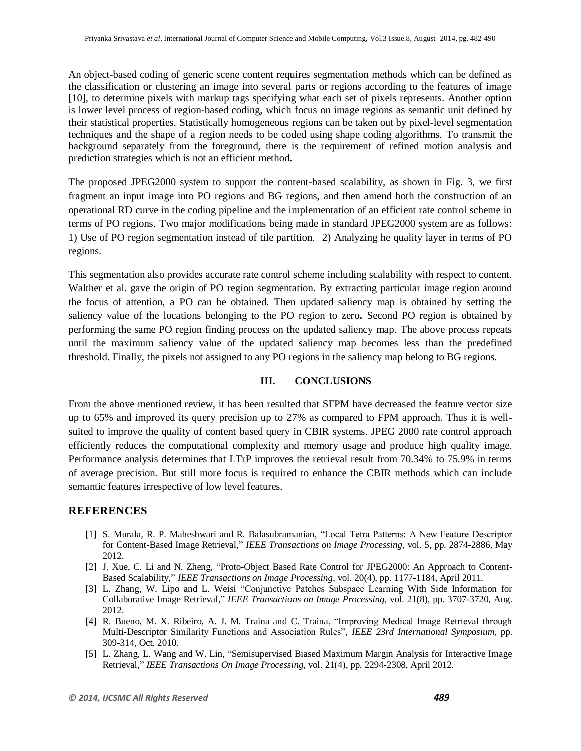An object-based coding of generic scene content requires segmentation methods which can be defined as the classification or clustering an image into several parts or regions according to the features of image [10], to determine pixels with markup tags specifying what each set of pixels represents. Another option is lower level process of region-based coding, which focus on image regions as semantic unit defined by their statistical properties. Statistically homogeneous regions can be taken out by pixel-level segmentation techniques and the shape of a region needs to be coded using shape coding algorithms. To transmit the background separately from the foreground, there is the requirement of refined motion analysis and prediction strategies which is not an efficient method.

The proposed JPEG2000 system to support the content-based scalability, as shown in Fig. 3, we first fragment an input image into PO regions and BG regions, and then amend both the construction of an operational RD curve in the coding pipeline and the implementation of an efficient rate control scheme in terms of PO regions. Two major modifications being made in standard JPEG2000 system are as follows: 1) Use of PO region segmentation instead of tile partition.2) Analyzing he quality layer in terms of PO regions.

This segmentation also provides accurate rate control scheme including scalability with respect to content. Walther et al. gave the origin of PO region segmentation. By extracting particular image region around the focus of attention, a PO can be obtained. Then updated saliency map is obtained by setting the saliency value of the locations belonging to the PO region to zero**.** Second PO region is obtained by performing the same PO region finding process on the updated saliency map. The above process repeats until the maximum saliency value of the updated saliency map becomes less than the predefined threshold. Finally, the pixels not assigned to any PO regions in the saliency map belong to BG regions.

#### **III. CONCLUSIONS**

From the above mentioned review, it has been resulted that SFPM have decreased the feature vector size up to 65% and improved its query precision up to 27% as compared to FPM approach. Thus it is wellsuited to improve the quality of content based query in CBIR systems. JPEG 2000 rate control approach efficiently reduces the computational complexity and memory usage and produce high quality image. Performance analysis determines that LTrP improves the retrieval result from 70.34% to 75.9% in terms of average precision. But still more focus is required to enhance the CBIR methods which can include semantic features irrespective of low level features.

#### **REFERENCES**

- [1] S. Murala, R. P. Maheshwari and R. Balasubramanian, "Local Tetra Patterns: A New Feature Descriptor for Content-Based Image Retrieval," *IEEE Transactions on Image Processing*, vol. 5, pp. 2874-2886, May 2012.
- [2] J. Xue, C. Li and N. Zheng, "Proto-Object Based Rate Control for JPEG2000: An Approach to Content-Based Scalability," *IEEE Transactions on Image Processing*, vol. 20(4), pp. 1177-1184, April 2011.
- [3] L. Zhang, W. Lipo and L. Weisi "Conjunctive Patches Subspace Learning With Side Information for Collaborative Image Retrieval," *IEEE Transactions on Image Processing*, vol. 21(8), pp. 3707-3720, Aug. 2012.
- [4] R. Bueno, M. X. Ribeiro, A. J. M. Traina and C. Traina, "Improving Medical Image Retrieval through Multi-Descriptor Similarity Functions and Association Rules", *IEEE 23rd International Symposium*, pp. 309-314, Oct. 2010.
- [5] L. Zhang, L. Wang and W. Lin, "Semisupervised Biased Maximum Margin Analysis for Interactive Image Retrieval," *IEEE Transactions On Image Processing,* vol. 21(4), pp. 2294-2308, April 2012.